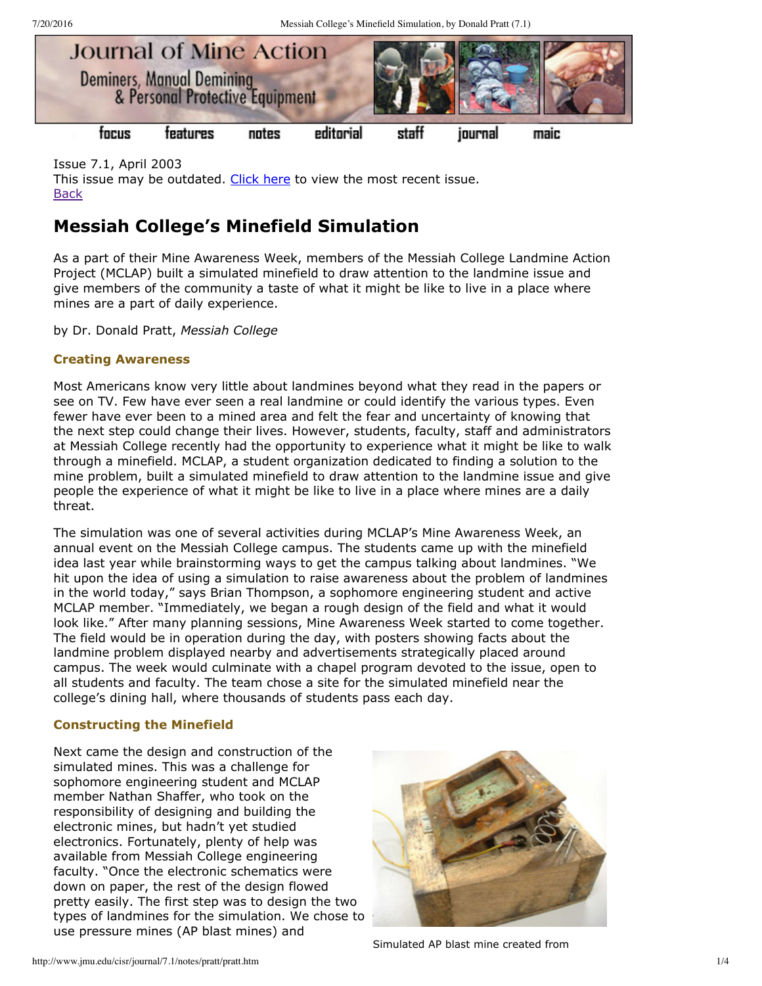

Issue 7.1, April 2003 This issue may be outdated. [Click](http://www.jmu.edu/cisr/journal/current.shtml) here to view the most recent issue. **[Back](http://www.jmu.edu/cisr/journal/7.1/index.htm)** 

# **Messiah College's Minefield Simulation**

As a part of their Mine Awareness Week, members of the Messiah College Landmine Action Project (MCLAP) built a simulated minefield to draw attention to the landmine issue and give members of the community a taste of what it might be like to live in a place where mines are a part of daily experience.

by Dr. Donald Pratt, *Messiah College*

## **Creating Awareness**

Most Americans know very little about landmines beyond what they read in the papers or see on TV. Few have ever seen a real landmine or could identify the various types. Even fewer have ever been to a mined area and felt the fear and uncertainty of knowing that the next step could change their lives. However, students, faculty, staff and administrators at Messiah College recently had the opportunity to experience what it might be like to walk through a minefield. MCLAP, a student organization dedicated to finding a solution to the mine problem, built a simulated minefield to draw attention to the landmine issue and give people the experience of what it might be like to live in a place where mines are a daily threat.

The simulation was one of several activities during MCLAP's Mine Awareness Week, an annual event on the Messiah College campus. The students came up with the minefield idea last year while brainstorming ways to get the campus talking about landmines. "We hit upon the idea of using a simulation to raise awareness about the problem of landmines in the world today," says Brian Thompson, a sophomore engineering student and active MCLAP member. "Immediately, we began a rough design of the field and what it would look like." After many planning sessions, Mine Awareness Week started to come together. The field would be in operation during the day, with posters showing facts about the landmine problem displayed nearby and advertisements strategically placed around campus. The week would culminate with a chapel program devoted to the issue, open to all students and faculty. The team chose a site for the simulated minefield near the college's dining hall, where thousands of students pass each day.

### **Constructing the Minefield**

Next came the design and construction of the simulated mines. This was a challenge for sophomore engineering student and MCLAP member Nathan Shaffer, who took on the responsibility of designing and building the electronic mines, but hadn't yet studied electronics. Fortunately, plenty of help was available from Messiah College engineering faculty. "Once the electronic schematics were down on paper, the rest of the design flowed pretty easily. The first step was to design the two types of landmines for the simulation. We chose to use pressure mines (AP blast mines) and



Simulated AP blast mine created from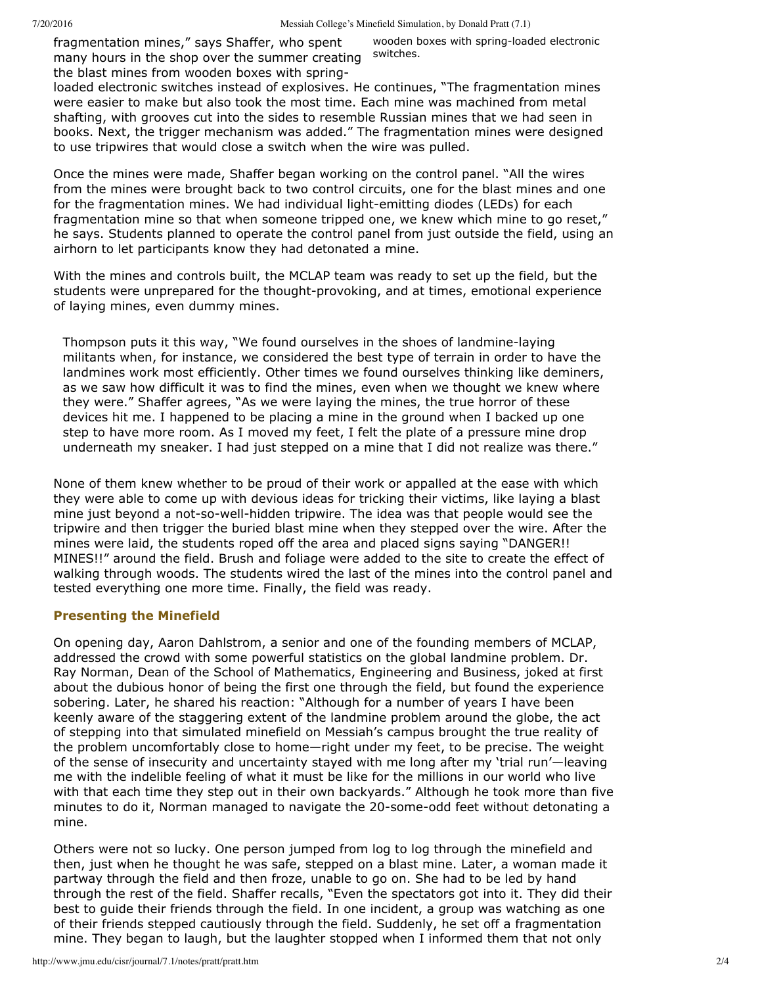fragmentation mines," says Shaffer, who spent many hours in the shop over the summer creating the blast mines from wooden boxes with spring-

wooden boxes with spring-loaded electronic switches.

loaded electronic switches instead of explosives. He continues, "The fragmentation mines were easier to make but also took the most time. Each mine was machined from metal shafting, with grooves cut into the sides to resemble Russian mines that we had seen in books. Next, the trigger mechanism was added." The fragmentation mines were designed to use tripwires that would close a switch when the wire was pulled.

Once the mines were made, Shaffer began working on the control panel. "All the wires from the mines were brought back to two control circuits, one for the blast mines and one for the fragmentation mines. We had individual light-emitting diodes (LEDs) for each fragmentation mine so that when someone tripped one, we knew which mine to go reset," he says. Students planned to operate the control panel from just outside the field, using an airhorn to let participants know they had detonated a mine.

With the mines and controls built, the MCLAP team was ready to set up the field, but the students were unprepared for the thought-provoking, and at times, emotional experience of laying mines, even dummy mines.

Thompson puts it this way, "We found ourselves in the shoes of landminelaying militants when, for instance, we considered the best type of terrain in order to have the landmines work most efficiently. Other times we found ourselves thinking like deminers, as we saw how difficult it was to find the mines, even when we thought we knew where they were." Shaffer agrees, "As we were laying the mines, the true horror of these devices hit me. I happened to be placing a mine in the ground when I backed up one step to have more room. As I moved my feet, I felt the plate of a pressure mine drop underneath my sneaker. I had just stepped on a mine that I did not realize was there."

None of them knew whether to be proud of their work or appalled at the ease with which they were able to come up with devious ideas for tricking their victims, like laying a blast mine just beyond a not-so-well-hidden tripwire. The idea was that people would see the tripwire and then trigger the buried blast mine when they stepped over the wire. After the mines were laid, the students roped off the area and placed signs saying "DANGER!! MINES!!" around the field. Brush and foliage were added to the site to create the effect of walking through woods. The students wired the last of the mines into the control panel and tested everything one more time. Finally, the field was ready.

# **Presenting the Minefield**

On opening day, Aaron Dahlstrom, a senior and one of the founding members of MCLAP, addressed the crowd with some powerful statistics on the global landmine problem. Dr. Ray Norman, Dean of the School of Mathematics, Engineering and Business, joked at first about the dubious honor of being the first one through the field, but found the experience sobering. Later, he shared his reaction: "Although for a number of years I have been keenly aware of the staggering extent of the landmine problem around the globe, the act of stepping into that simulated minefield on Messiah's campus brought the true reality of the problem uncomfortably close to home—right under my feet, to be precise. The weight of the sense of insecurity and uncertainty stayed with me long after my 'trial run'—leaving me with the indelible feeling of what it must be like for the millions in our world who live with that each time they step out in their own backyards." Although he took more than five minutes to do it, Norman managed to navigate the 20-some-odd feet without detonating a mine.

Others were not so lucky. One person jumped from log to log through the minefield and then, just when he thought he was safe, stepped on a blast mine. Later, a woman made it partway through the field and then froze, unable to go on. She had to be led by hand through the rest of the field. Shaffer recalls, "Even the spectators got into it. They did their best to guide their friends through the field. In one incident, a group was watching as one of their friends stepped cautiously through the field. Suddenly, he set off a fragmentation mine. They began to laugh, but the laughter stopped when I informed them that not only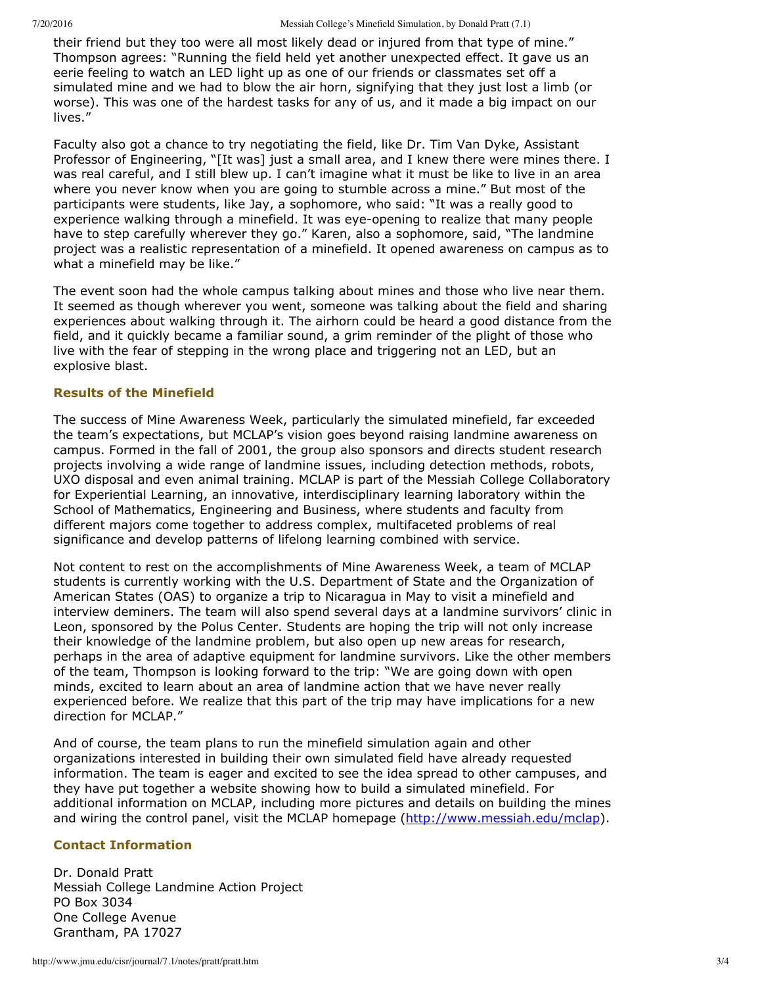their friend but they too were all most likely dead or injured from that type of mine." Thompson agrees: "Running the field held yet another unexpected effect. It gave us an eerie feeling to watch an LED light up as one of our friends or classmates set off a simulated mine and we had to blow the air horn, signifying that they just lost a limb (or worse). This was one of the hardest tasks for any of us, and it made a big impact on our lives."

Faculty also got a chance to try negotiating the field, like Dr. Tim Van Dyke, Assistant Professor of Engineering, "[It was] just a small area, and I knew there were mines there. I was real careful, and I still blew up. I can't imagine what it must be like to live in an area where you never know when you are going to stumble across a mine." But most of the participants were students, like Jay, a sophomore, who said: "It was a really good to experience walking through a minefield. It was eye-opening to realize that many people have to step carefully wherever they go." Karen, also a sophomore, said, "The landmine project was a realistic representation of a minefield. It opened awareness on campus as to what a minefield may be like."

The event soon had the whole campus talking about mines and those who live near them. It seemed as though wherever you went, someone was talking about the field and sharing experiences about walking through it. The airhorn could be heard a good distance from the field, and it quickly became a familiar sound, a grim reminder of the plight of those who live with the fear of stepping in the wrong place and triggering not an LED, but an explosive blast.

#### **Results of the Minefield**

The success of Mine Awareness Week, particularly the simulated minefield, far exceeded the team's expectations, but MCLAP's vision goes beyond raising landmine awareness on campus. Formed in the fall of 2001, the group also sponsors and directs student research projects involving a wide range of landmine issues, including detection methods, robots, UXO disposal and even animal training. MCLAP is part of the Messiah College Collaboratory for Experiential Learning, an innovative, interdisciplinary learning laboratory within the School of Mathematics, Engineering and Business, where students and faculty from different majors come together to address complex, multifaceted problems of real significance and develop patterns of lifelong learning combined with service.

Not content to rest on the accomplishments of Mine Awareness Week, a team of MCLAP students is currently working with the U.S. Department of State and the Organization of American States (OAS) to organize a trip to Nicaragua in May to visit a minefield and interview deminers. The team will also spend several days at a landmine survivors' clinic in Leon, sponsored by the Polus Center. Students are hoping the trip will not only increase their knowledge of the landmine problem, but also open up new areas for research, perhaps in the area of adaptive equipment for landmine survivors. Like the other members of the team, Thompson is looking forward to the trip: "We are going down with open minds, excited to learn about an area of landmine action that we have never really experienced before. We realize that this part of the trip may have implications for a new direction for MCLAP."

And of course, the team plans to run the minefield simulation again and other organizations interested in building their own simulated field have already requested information. The team is eager and excited to see the idea spread to other campuses, and they have put together a website showing how to build a simulated minefield. For additional information on MCLAP, including more pictures and details on building the mines and wiring the control panel, visit the MCLAP homepage [\(http://www.messiah.edu/mclap](http://www.messiah.edu/mclap)).

### **Contact Information**

Dr. Donald Pratt Messiah College Landmine Action Project PO Box 3034 One College Avenue Grantham, PA 17027